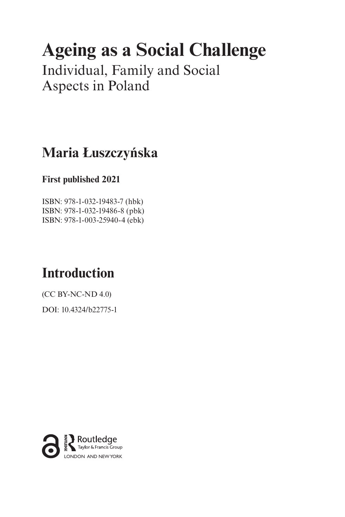# **Ageing as a Social Challenge**

Individual, Family and Social Aspects in Poland

# **Maria Łuszczyńska**

## **First published 2021**

ISBN: 978-1-032-19483-7 (hbk) ISBN: 978-1-032-19486-8 (pbk) ISBN: 978-1-003-25940-4 (ebk)

# **Introduction**

(CC BY-NC-ND 4.0)

[DOI: 10.4324/b22775-1](https://doi.org/10.4324/b22775-1)

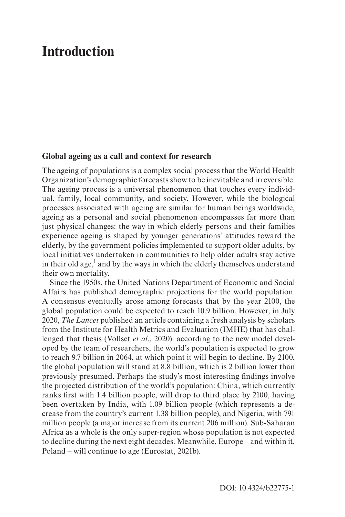#### <span id="page-1-0"></span>**Global ageing as a call and context for research**

The ageing of populations is a complex social process that the World Health Organization's demographic forecasts show to be inevitable and irreversible. The ageing process is a universal phenomenon that touches every individual, family, local community, and society. However, while the biological processes associated with ageing are similar for human beings worldwide, ageing as a personal and social phenomenon encompasses far more than just physical changes: the way in which elderly persons and their families experience ageing is shaped by younger generations' attitudes toward the elderly, by the government policies implemented to support older adults, by local initiatives undertaken in communities to help older adults stay active in their old age, $<sup>1</sup>$  and by the ways in which the elderly themselves understand</sup> their own mortality.

Since the 1950s, the United Nations Department of Economic and Social Affairs has published demographic projections for the world population. A consensus eventually arose among forecasts that by the year 2100, the global population could be expected to reach 10.9 billion. However, in July 2020, *The Lancet* published an article containing a fresh analysis by scholars from the Institute for Health Metrics and Evaluation (IMHE) that has challenged that thesis (Vollset *et al*., 2020): according to the new model developed by the team of researchers, the world's population is expected to grow to reach 9.7 billion in 2064, at which point it will begin to decline. By 2100, the global population will stand at 8.8 billion, which is 2 billion lower than previously presumed. Perhaps the study's most interesting findings involve the projected distribution of the world's population: China, which currently ranks first with 1.4 billion people, will drop to third place by 2100, having been overtaken by India, with 1.09 billion people (which represents a decrease from the country's current 1.38 billion people), and Nigeria, with 791 million people (a major increase from its current 206 million). Sub-Saharan Africa as a whole is the only super-region whose population is not expected to decline during the next eight decades. Meanwhile, Europe – and within it, Poland – will continue to age (Eurostat, 2021b).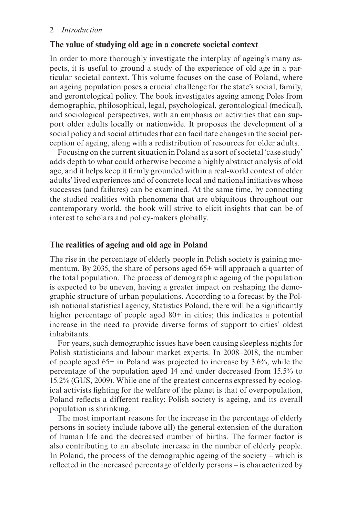#### **The value of studying old age in a concrete societal context**

In order to more thoroughly investigate the interplay of ageing's many aspects, it is useful to ground a study of the experience of old age in a particular societal context. This volume focuses on the case of Poland, where an ageing population poses a crucial challenge for the state's social, family, and gerontological policy. The book investigates ageing among Poles from demographic, philosophical, legal, psychological, gerontological (medical), and sociological perspectives, with an emphasis on activities that can support older adults locally or nationwide. It proposes the development of a social policy and social attitudes that can facilitate changes in the social perception of ageing, along with a redistribution of resources for older adults.

Focusing on the current situation in Poland as a sort of societal 'case study' adds depth to what could otherwise become a highly abstract analysis of old age, and it helps keep it firmly grounded within a real-world context of older adults' lived experiences and of concrete local and national initiatives whose successes (and failures) can be examined. At the same time, by connecting the studied realities with phenomena that are ubiquitous throughout our contemporary world, the book will strive to elicit insights that can be of interest to scholars and policy-makers globally.

#### **The realities of ageing and old age in Poland**

The rise in the percentage of elderly people in Polish society is gaining momentum. By 2035, the share of persons aged 65+ will approach a quarter of the total population. The process of demographic ageing of the population is expected to be uneven, having a greater impact on reshaping the demographic structure of urban populations. According to a forecast by the Polish national statistical agency, Statistics Poland, there will be a significantly higher percentage of people aged 80+ in cities; this indicates a potential increase in the need to provide diverse forms of support to cities' oldest inhabitants.

For years, such demographic issues have been causing sleepless nights for Polish statisticians and labour market experts. In 2008–2018, the number of people aged 65+ in Poland was projected to increase by 3.6%, while the percentage of the population aged 14 and under decreased from 15.5% to 15.2% (GUS, 2009). While one of the greatest concerns expressed by ecological activists fighting for the welfare of the planet is that of overpopulation, Poland reflects a different reality: Polish society is ageing, and its overall population is shrinking.

The most important reasons for the increase in the percentage of elderly persons in society include (above all) the general extension of the duration of human life and the decreased number of births. The former factor is also contributing to an absolute increase in the number of elderly people. In Poland, the process of the demographic ageing of the society – which is reflected in the increased percentage of elderly persons – is characterized by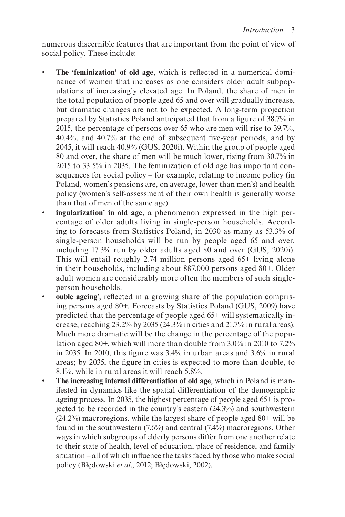numerous discernible features that are important from the point of view of social policy. These include:

- **The 'feminization' of old age**, which is reflected in a numerical dominance of women that increases as one considers older adult subpopulations of increasingly elevated age. In Poland, the share of men in the total population of people aged 65 and over will gradually increase, but dramatic changes are not to be expected. A long-term projection prepared by Statistics Poland anticipated that from a figure of 38.7% in 2015, the percentage of persons over 65 who are men will rise to 39.7%, 40.4%, and 40.7% at the end of subsequent five-year periods, and by 2045, it will reach 40.9% (GUS, 2020i). Within the group of people aged 80 and over, the share of men will be much lower, rising from 30.7% in 2015 to 33.5% in 2035. The feminization of old age has important consequences for social policy – for example, relating to income policy (in Poland, women's pensions are, on average, lower than men's) and health policy (women's self-assessment of their own health is generally worse than that of men of the same age).
- **ingularization' in old age**, a phenomenon expressed in the high percentage of older adults living in single-person households. According to forecasts from Statistics Poland, in 2030 as many as 53.3% of single-person households will be run by people aged 65 and over, including 17.3% run by older adults aged 80 and over (GUS, 2020i). This will entail roughly 2.74 million persons aged 65+ living alone in their households, including about 887,000 persons aged 80+. Older adult women are considerably more often the members of such singleperson households.
- **ouble ageing'**, reflected in a growing share of the population comprising persons aged 80+. Forecasts by Statistics Poland (GUS, 2009) have predicted that the percentage of people aged 65+ will systematically increase, reaching 23.2% by 2035 (24.3% in cities and 21.7% in rural areas). Much more dramatic will be the change in the percentage of the population aged 80+, which will more than double from 3.0% in 2010 to 7.2% in 2035. In 2010, this figure was 3.4% in urban areas and 3.6% in rural areas; by 2035, the figure in cities is expected to more than double, to 8.1%, while in rural areas it will reach 5.8%.
- **The increasing internal differentiation of old age**, which in Poland is manifested in dynamics like the spatial differentiation of the demographic ageing process. In 2035, the highest percentage of people aged 65+ is projected to be recorded in the country's eastern (24.3%) and southwestern (24.2%) macroregions, while the largest share of people aged 80+ will be found in the southwestern  $(7.6\%)$  and central  $(7.4\%)$  macroregions. Other ways in which subgroups of elderly persons differ from one another relate to their state of health, level of education, place of residence, and family situation – all of which influence the tasks faced by those who make social policy (Błędowski *et al*., 2012; Błędowski, 2002).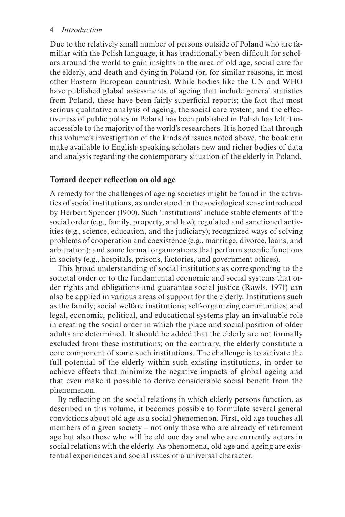Due to the relatively small number of persons outside of Poland who are familiar with the Polish language, it has traditionally been difficult for scholars around the world to gain insights in the area of old age, social care for the elderly, and death and dying in Poland (or, for similar reasons, in most other Eastern European countries). While bodies like the UN and WHO have published global assessments of ageing that include general statistics from Poland, these have been fairly superficial reports; the fact that most serious qualitative analysis of ageing, the social care system, and the effectiveness of public policy in Poland has been published in Polish has left it inaccessible to the majority of the world's researchers. It is hoped that through this volume's investigation of the kinds of issues noted above, the book can make available to English-speaking scholars new and richer bodies of data and analysis regarding the contemporary situation of the elderly in Poland.

#### **Toward deeper reflection on old age**

A remedy for the challenges of ageing societies might be found in the activities of social institutions, as understood in the sociological sense introduced by Herbert Spencer (1900). Such 'institutions' include stable elements of the social order (e.g., family, property, and law); regulated and sanctioned activities (e.g., science, education, and the judiciary); recognized ways of solving problems of cooperation and coexistence (e.g., marriage, divorce, loans, and arbitration); and some formal organizations that perform specific functions in society (e.g., hospitals, prisons, factories, and government offices).

This broad understanding of social institutions as corresponding to the societal order or to the fundamental economic and social systems that order rights and obligations and guarantee social justice (Rawls, 1971) can also be applied in various areas of support for the elderly. Institutions such as the family; social welfare institutions; self-organizing communities; and legal, economic, political, and educational systems play an invaluable role in creating the social order in which the place and social position of older adults are determined. It should be added that the elderly are not formally excluded from these institutions; on the contrary, the elderly constitute a core component of some such institutions. The challenge is to activate the full potential of the elderly within such existing institutions, in order to achieve effects that minimize the negative impacts of global ageing and that even make it possible to derive considerable social benefit from the phenomenon.

By reflecting on the social relations in which elderly persons function, as described in this volume, it becomes possible to formulate several general convictions about old age as a social phenomenon. First, old age touches all members of a given society – not only those who are already of retirement age but also those who will be old one day and who are currently actors in social relations with the elderly. As phenomena, old age and ageing are existential experiences and social issues of a universal character.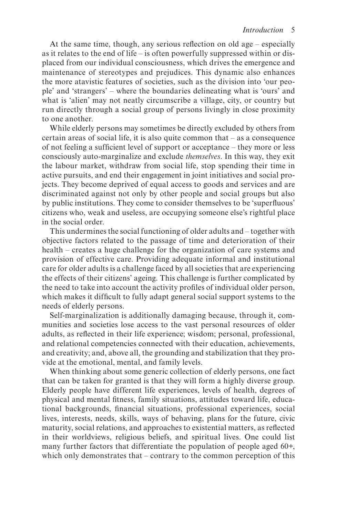At the same time, though, any serious reflection on old age – especially as it relates to the end of life – is often powerfully suppressed within or displaced from our individual consciousness, which drives the emergence and maintenance of stereotypes and prejudices. This dynamic also enhances the more atavistic features of societies, such as the division into 'our people' and 'strangers' – where the boundaries delineating what is 'ours' and what is 'alien' may not neatly circumscribe a village, city, or country but run directly through a social group of persons livingly in close proximity to one another.

While elderly persons may sometimes be directly excluded by others from certain areas of social life, it is also quite common that – as a consequence of not feeling a sufficient level of support or acceptance – they more or less consciously auto-marginalize and exclude *themselves*. In this way, they exit the labour market, withdraw from social life, stop spending their time in active pursuits, and end their engagement in joint initiatives and social projects. They become deprived of equal access to goods and services and are discriminated against not only by other people and social groups but also by public institutions. They come to consider themselves to be 'superfluous' citizens who, weak and useless, are occupying someone else's rightful place in the social order.

This undermines the social functioning of older adults and – together with objective factors related to the passage of time and deterioration of their health – creates a huge challenge for the organization of care systems and provision of effective care. Providing adequate informal and institutional care for older adults is a challenge faced by all societies that are experiencing the effects of their citizens' ageing. This challenge is further complicated by the need to take into account the activity profiles of individual older person, which makes it difficult to fully adapt general social support systems to the needs of elderly persons.

Self-marginalization is additionally damaging because, through it, communities and societies lose access to the vast personal resources of older adults, as reflected in their life experience; wisdom; personal, professional, and relational competencies connected with their education, achievements, and creativity; and, above all, the grounding and stabilization that they provide at the emotional, mental, and family levels.

When thinking about some generic collection of elderly persons, one fact that can be taken for granted is that they will form a highly diverse group. Elderly people have different life experiences, levels of health, degrees of physical and mental fitness, family situations, attitudes toward life, educational backgrounds, financial situations, professional experiences, social lives, interests, needs, skills, ways of behaving, plans for the future, civic maturity, social relations, and approaches to existential matters, as reflected in their worldviews, religious beliefs, and spiritual lives. One could list many further factors that differentiate the population of people aged 60+, which only demonstrates that – contrary to the common perception of this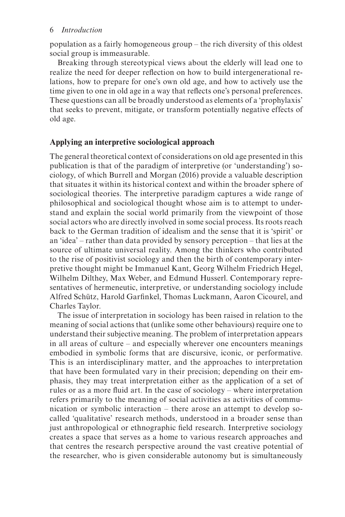population as a fairly homogeneous group – the rich diversity of this oldest social group is immeasurable.

Breaking through stereotypical views about the elderly will lead one to realize the need for deeper reflection on how to build intergenerational relations, how to prepare for one's own old age, and how to actively use the time given to one in old age in a way that reflects one's personal preferences. These questions can all be broadly understood as elements of a 'prophylaxis' that seeks to prevent, mitigate, or transform potentially negative effects of old age.

### **Applying an interpretive sociological approach**

The general theoretical context of considerations on old age presented in this publication is that of the paradigm of interpretive (or 'understanding') sociology, of which Burrell and Morgan (2016) provide a valuable description that situates it within its historical context and within the broader sphere of sociological theories. The interpretive paradigm captures a wide range of philosophical and sociological thought whose aim is to attempt to understand and explain the social world primarily from the viewpoint of those social actors who are directly involved in some social process. Its roots reach back to the German tradition of idealism and the sense that it is 'spirit' or an 'idea' – rather than data provided by sensory perception – that lies at the source of ultimate universal reality. Among the thinkers who contributed to the rise of positivist sociology and then the birth of contemporary interpretive thought might be Immanuel Kant, Georg Wilhelm Friedrich Hegel, Wilhelm Dilthey, Max Weber, and Edmund Husserl. Contemporary representatives of hermeneutic, interpretive, or understanding sociology include Alfred Schütz, Harold Garfinkel, Thomas Luckmann, Aaron Cicourel, and Charles Taylor.

The issue of interpretation in sociology has been raised in relation to the meaning of social actions that (unlike some other behaviours) require one to understand their subjective meaning. The problem of interpretation appears in all areas of culture – and especially wherever one encounters meanings embodied in symbolic forms that are discursive, iconic, or performative. This is an interdisciplinary matter, and the approaches to interpretation that have been formulated vary in their precision; depending on their emphasis, they may treat interpretation either as the application of a set of rules or as a more fluid art. In the case of sociology – where interpretation refers primarily to the meaning of social activities as activities of communication or symbolic interaction – there arose an attempt to develop socalled 'qualitative' research methods, understood in a broader sense than just anthropological or ethnographic field research. Interpretive sociology creates a space that serves as a home to various research approaches and that centres the research perspective around the vast creative potential of the researcher, who is given considerable autonomy but is simultaneously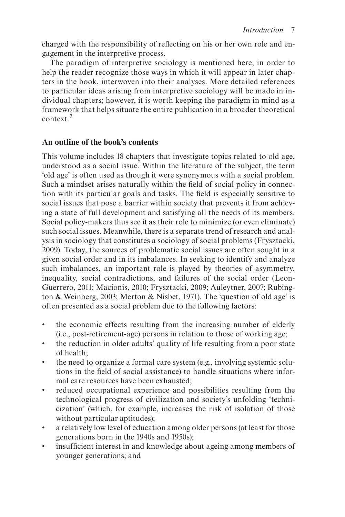<span id="page-7-0"></span>charged with the responsibility of reflecting on his or her own role and engagement in the interpretive process.

The paradigm of interpretive sociology is mentioned here, in order to help the reader recognize those ways in which it will appear in later chapters in the book, interwoven into their analyses. More detailed references to particular ideas arising from interpretive sociology will be made in individual chapters; however, it is worth keeping the paradigm in mind as a framework that helps situate the entire publication in a broader theoretical context<sup>[2](#page-11-0)</sup>

### **An outline of the book's contents**

This volume includes 18 chapters that investigate topics related to old age, understood as a social issue. Within the literature of the subject, the term 'old age' is often used as though it were synonymous with a social problem. Such a mindset arises naturally within the field of social policy in connection with its particular goals and tasks. The field is especially sensitive to social issues that pose a barrier within society that prevents it from achieving a state of full development and satisfying all the needs of its members. Social policy-makers thus see it as their role to minimize (or even eliminate) such social issues. Meanwhile, there is a separate trend of research and analysis in sociology that constitutes a sociology of social problems (Frysztacki, 2009). Today, the sources of problematic social issues are often sought in a given social order and in its imbalances. In seeking to identify and analyze such imbalances, an important role is played by theories of asymmetry, inequality, social contradictions, and failures of the social order (Leon-Guerrero, 2011; Macionis, 2010; Frysztacki, 2009; Auleytner, 2007; Rubington & Weinberg, 2003; Merton & Nisbet, 1971). The 'question of old age' is often presented as a social problem due to the following factors:

- the economic effects resulting from the increasing number of elderly (i.e., post-retirement-age) persons in relation to those of working age;
- the reduction in older adults' quality of life resulting from a poor state of health;
- the need to organize a formal care system (e.g., involving systemic solutions in the field of social assistance) to handle situations where informal care resources have been exhausted;
- reduced occupational experience and possibilities resulting from the technological progress of civilization and society's unfolding 'technicization' (which, for example, increases the risk of isolation of those without particular aptitudes);
- a relatively low level of education among older persons (at least for those generations born in the 1940s and 1950s);
- insufficient interest in and knowledge about ageing among members of younger generations; and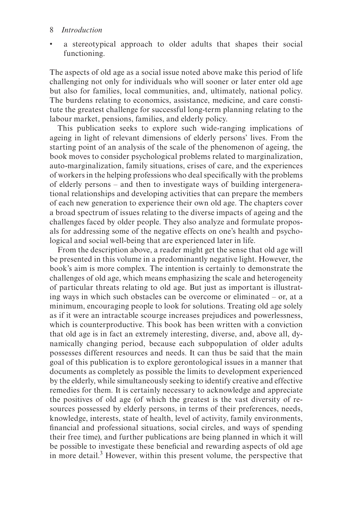<span id="page-8-0"></span>a stereotypical approach to older adults that shapes their social functioning.

The aspects of old age as a social issue noted above make this period of life challenging not only for individuals who will sooner or later enter old age but also for families, local communities, and, ultimately, national policy. The burdens relating to economics, assistance, medicine, and care constitute the greatest challenge for successful long-term planning relating to the labour market, pensions, families, and elderly policy.

This publication seeks to explore such wide-ranging implications of ageing in light of relevant dimensions of elderly persons' lives. From the starting point of an analysis of the scale of the phenomenon of ageing, the book moves to consider psychological problems related to marginalization, auto-marginalization, family situations, crises of care, and the experiences of workers in the helping professions who deal specifically with the problems of elderly persons – and then to investigate ways of building intergenerational relationships and developing activities that can prepare the members of each new generation to experience their own old age. The chapters cover a broad spectrum of issues relating to the diverse impacts of ageing and the challenges faced by older people. They also analyze and formulate proposals for addressing some of the negative effects on one's health and psychological and social well-being that are experienced later in life.

From the description above, a reader might get the sense that old age will be presented in this volume in a predominantly negative light. However, the book's aim is more complex. The intention is certainly to demonstrate the challenges of old age, which means emphasizing the scale and heterogeneity of particular threats relating to old age. But just as important is illustrating ways in which such obstacles can be overcome or eliminated – or, at a minimum, encouraging people to look for solutions. Treating old age solely as if it were an intractable scourge increases prejudices and powerlessness, which is counterproductive. This book has been written with a conviction that old age is in fact an extremely interesting, diverse, and, above all, dynamically changing period, because each subpopulation of older adults possesses different resources and needs. It can thus be said that the main goal of this publication is to explore gerontological issues in a manner that documents as completely as possible the limits to development experienced by the elderly, while simultaneously seeking to identify creative and effective remedies for them. It is certainly necessary to acknowledge and appreciate the positives of old age (of which the greatest is the vast diversity of resources possessed by elderly persons, in terms of their preferences, needs, knowledge, interests, state of health, level of activity, family environments, financial and professional situations, social circles, and ways of spending their free time), and further publications are being planned in which it will be possible to investigate these beneficial and rewarding aspects of old age in more detail.<sup>3</sup> However, within this present volume, the perspective that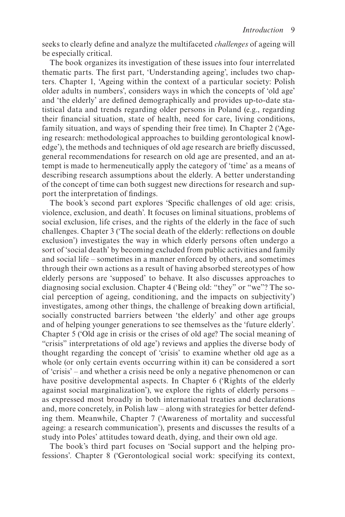seeks to clearly define and analyze the multifaceted *challenges* of ageing will be especially critical.

The book organizes its investigation of these issues into four interrelated thematic parts. The first part, 'Understanding ageing', includes two chapters. Chapter 1, 'Ageing within the context of a particular society: Polish older adults in numbers', considers ways in which the concepts of 'old age' and 'the elderly' are defined demographically and provides up-to-date statistical data and trends regarding older persons in Poland (e.g., regarding their financial situation, state of health, need for care, living conditions, family situation, and ways of spending their free time). In Chapter 2 ('Ageing research: methodological approaches to building gerontological knowledge'), the methods and techniques of old age research are briefly discussed, general recommendations for research on old age are presented, and an attempt is made to hermeneutically apply the category of 'time' as a means of describing research assumptions about the elderly. A better understanding of the concept of time can both suggest new directions for research and support the interpretation of findings.

The book's second part explores 'Specific challenges of old age: crisis, violence, exclusion, and death'. It focuses on liminal situations, problems of social exclusion, life crises, and the rights of the elderly in the face of such challenges. Chapter 3 ('The social death of the elderly: reflections on double exclusion') investigates the way in which elderly persons often undergo a sort of 'social death' by becoming excluded from public activities and family and social life – sometimes in a manner enforced by others, and sometimes through their own actions as a result of having absorbed stereotypes of how elderly persons are 'supposed' to behave. It also discusses approaches to diagnosing social exclusion. Chapter 4 ('Being old: "they" or "we"? The social perception of ageing, conditioning, and the impacts on subjectivity') investigates, among other things, the challenge of breaking down artificial, socially constructed barriers between 'the elderly' and other age groups and of helping younger generations to see themselves as the 'future elderly'. Chapter 5 ('Old age in crisis or the crises of old age? The social meaning of "crisis" interpretations of old age') reviews and applies the diverse body of thought regarding the concept of 'crisis' to examine whether old age as a whole (or only certain events occurring within it) can be considered a sort of 'crisis' – and whether a crisis need be only a negative phenomenon or can have positive developmental aspects. In Chapter 6 ('Rights of the elderly against social marginalization'), we explore the rights of elderly persons – as expressed most broadly in both international treaties and declarations and, more concretely, in Polish law – along with strategies for better defending them. Meanwhile, Chapter 7 ('Awareness of mortality and successful ageing: a research communication'), presents and discusses the results of a study into Poles' attitudes toward death, dying, and their own old age.

The book's third part focuses on 'Social support and the helping professions'. Chapter 8 ('Gerontological social work: specifying its context,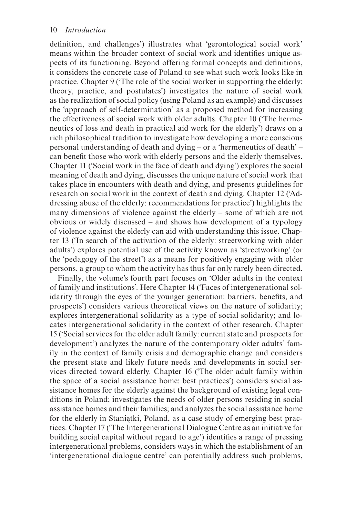definition, and challenges') illustrates what 'gerontological social work' means within the broader context of social work and identifies unique aspects of its functioning. Beyond offering formal concepts and definitions, it considers the concrete case of Poland to see what such work looks like in practice. Chapter 9 ('The role of the social worker in supporting the elderly: theory, practice, and postulates') investigates the nature of social work as the realization of social policy (using Poland as an example) and discusses the 'approach of self-determination' as a proposed method for increasing the effectiveness of social work with older adults. Chapter 10 ('The hermeneutics of loss and death in practical aid work for the elderly') draws on a rich philosophical tradition to investigate how developing a more conscious personal understanding of death and dying – or a 'hermeneutics of death' – can benefit those who work with elderly persons and the elderly themselves. Chapter 11 ('Social work in the face of death and dying') explores the social meaning of death and dying, discusses the unique nature of social work that takes place in encounters with death and dying, and presents guidelines for research on social work in the context of death and dying. Chapter 12 ('Addressing abuse of the elderly: recommendations for practice') highlights the many dimensions of violence against the elderly – some of which are not obvious or widely discussed – and shows how development of a typology of violence against the elderly can aid with understanding this issue. Chapter 13 ('In search of the activation of the elderly: streetworking with older adults') explores potential use of the activity known as 'streetworking' (or the 'pedagogy of the street') as a means for positively engaging with older persons, a group to whom the activity has thus far only rarely been directed.

Finally, the volume's fourth part focuses on 'Older adults in the context of family and institutions'. Here Chapter 14 ('Faces of intergenerational solidarity through the eyes of the younger generation: barriers, benefits, and prospects') considers various theoretical views on the nature of solidarity; explores intergenerational solidarity as a type of social solidarity; and locates intergenerational solidarity in the context of other research. Chapter 15 ('Social services for the older adult family: current state and prospects for development') analyzes the nature of the contemporary older adults' family in the context of family crisis and demographic change and considers the present state and likely future needs and developments in social services directed toward elderly. Chapter 16 ('The older adult family within the space of a social assistance home: best practices') considers social assistance homes for the elderly against the background of existing legal conditions in Poland; investigates the needs of older persons residing in social assistance homes and their families; and analyzes the social assistance home for the elderly in Staniątki, Poland, as a case study of emerging best practices. Chapter 17 ('The Intergenerational Dialogue Centre as an initiative for building social capital without regard to age') identifies a range of pressing intergenerational problems, considers ways in which the establishment of an 'intergenerational dialogue centre' can potentially address such problems,